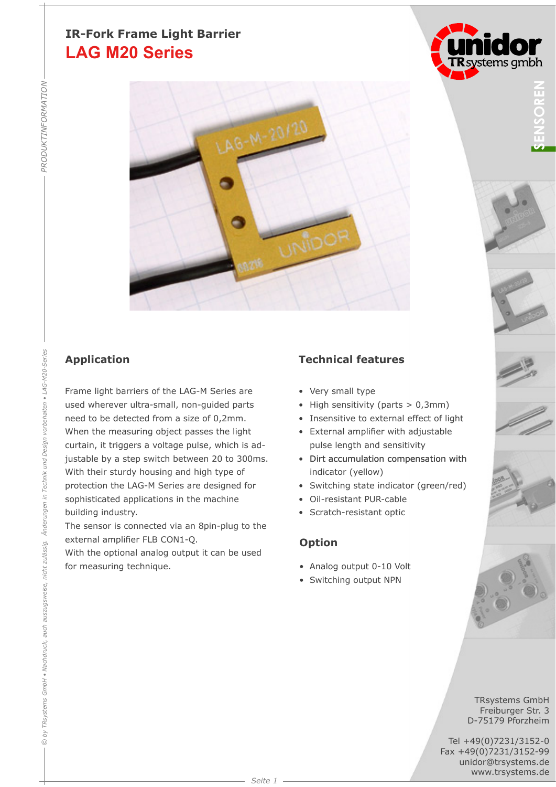# **LAG M20 Series IR-Fork Frame Light Barrier**



Frame light barriers of the LAG-M Series are used wherever ultra-small, non-guided parts need to be detected from a size of 0,2mm. When the measuring object passes the light curtain, it triggers a voltage pulse, which is adjustable by a step switch between 20 to 300ms. With their sturdy housing and high type of protection the LAG-M Series are designed for sophisticated applications in the machine building industry.

The sensor is connected via an 8pin-plug to the external amplifier FLB CON1-Q.

With the optional analog output it can be used for measuring technique.

## **Application Technical features**

- Very small type
- High sensitivity (parts  $> 0,3$ mm)
- Insensitive to external effect of light
- External amplifier with adjustable pulse length and sensitivity
- Dirt accumulation compensation with indicator (yellow)
- Switching state indicator (green/red)
- Oil-resistant PUR-cable
- Scratch-resistant optic

### **Option**

- Analog output 0-10 Volt
- Switching output NPN











TRsystems GmbH Freiburger Str. 3 D-75179 Pforzheim

Tel +49(0)7231/3152-0 Fax +49(0)7231/3152-99 unidor@trsystems.de www.trsystems.de

*PRODUKTINFORMATION*

PRODUKTINFORMATION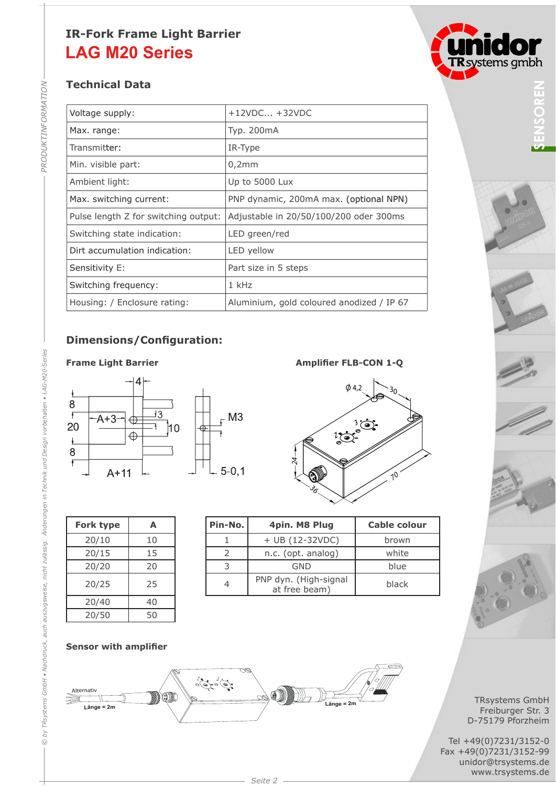# **LAG M20 Series IR-Fork Frame Light Barrier**

## **Technical Data**

| Voltage supply:                      | $+12VDC +32VDC$                           |
|--------------------------------------|-------------------------------------------|
| Max. range:                          | Typ. 200mA                                |
| Transmitter:                         | IR-Type                                   |
| Min. visible part:                   | 0,2mm                                     |
| Ambient light:                       | Up to 5000 Lux                            |
| Max. switching current:              | PNP dynamic, 200mA max. (optional NPN)    |
| Pulse length Z for switching output: | Adjustable in 20/50/100/200 oder 300ms    |
| Switching state indication:          | LED green/red                             |
| Dirt accumulation indication:        | LED yellow                                |
| Sensitivity E:                       | Part size in 5 steps                      |
| Switching frequency:                 | $1$ kHz                                   |
| Housing: / Enclosure rating:         | Aluminium, gold coloured anodized / IP 67 |

## **Dimensions/Configuration:**

#### **Frame Light Barrier**



| <b>Fork type</b> | A  |
|------------------|----|
| 20/10            | 10 |
| 20/15            | 15 |
| 20/20            | 20 |
| 20/25            | 25 |
| 20/40            | 40 |
| 20/50            | 50 |

| $-0,1$ | Ñ<br>$\mathcal{S}^{\mathcal{C}}$ | 10                  |
|--------|----------------------------------|---------------------|
| -No.   | 4pin. M8 Plug                    | <b>Cable colour</b> |
|        | + UB (12-32VDC)                  | brown               |
| 2      | n.c. (opt. analog)               | white               |
| 3      | GND                              | blue                |
|        | <b>PRIP I</b> / III I ·          |                     |

|  | $\phi$ 4,2       |  |  |
|--|------------------|--|--|
|  |                  |  |  |
|  | ۵<br>е<br>.<br>پ |  |  |
|  |                  |  |  |

**Amplifier FLB-CON 1-Q**

| rk type | А  |  |
|---------|----|--|
| 20/10   | 10 |  |
| 20/15   | 15 |  |
| 20/20   | 20 |  |
| 20/25   | 25 |  |
| 20/40   | 40 |  |

| Fork type |    | Pin-No. | 4pin. M8 Plug                          | <b>Cable colour</b> |
|-----------|----|---------|----------------------------------------|---------------------|
| 20/10     | 10 |         | $+$ UB (12-32VDC)                      | brown               |
| 20/15     | 15 |         | n.c. (opt. analog)                     | white               |
| 20/20     | 20 |         | <b>GND</b>                             | blue                |
| 20/25     | 25 |         | PNP dyn. (High-signal<br>at free beam) | black               |

# $\bullet$  $\bullet$ **TR** systems gmbh











**Sensor with amplifier**



TRsystems GmbH Freiburger Str. 3 D-75179 Pforzheim

Tel +49(0)7231/3152-0 Fax +49(0)7231/3152-99 unidor@trsystems.de<br>www.trsystems.de